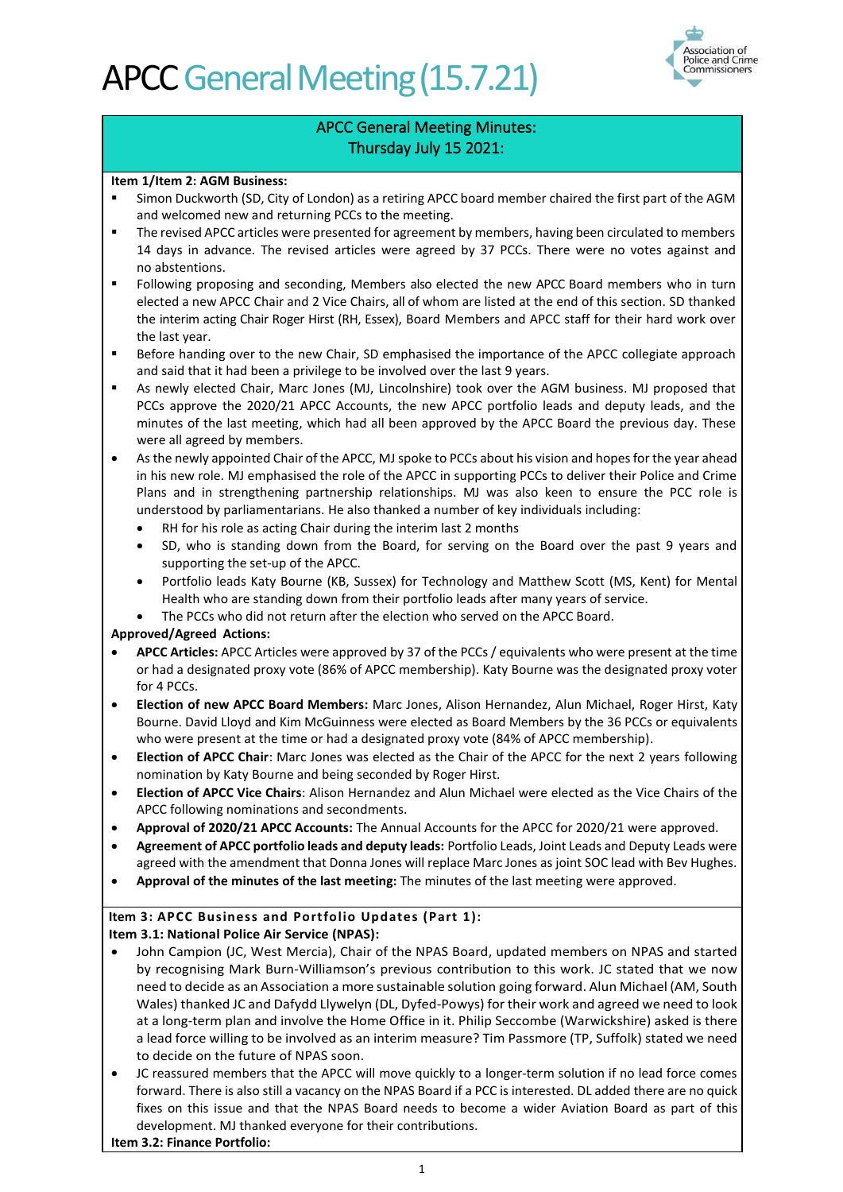

### APCC General Meeting Minutes: Thursday July 15 2021:

#### **Item 1/Item 2: AGM Business:**

- Simon Duckworth (SD, City of London) as a retiring APCC board member chaired the first part of the AGM and welcomed new and returning PCCs to the meeting.
- The revised APCC articles were presented for agreement by members, having been circulated to members 14 days in advance. The revised articles were agreed by 37 PCCs. There were no votes against and no abstentions.
- Following proposing and seconding, Members also elected the new APCC Board members who in turn elected a new APCC Chair and 2 Vice Chairs, all of whom are listed at the end of this section. SD thanked the interim acting Chair Roger Hirst (RH, Essex), Board Members and APCC staff for their hard work over the last year.
- **■** Before handing over to the new Chair, SD emphasised the importance of the APCC collegiate approach and said that it had been a privilege to be involved over the last 9 years.
- As newly elected Chair, Marc Jones (MJ, Lincolnshire) took over the AGM business. MJ proposed that PCCs approve the 2020/21 APCC Accounts, the new APCC portfolio leads and deputy leads, and the minutes of the last meeting, which had all been approved by the APCC Board the previous day. These were all agreed by members.
- As the newly appointed Chair of the APCC, MJ spoke to PCCs about his vision and hopes for the year ahead in his new role. MJ emphasised the role of the APCC in supporting PCCs to deliver their Police and Crime Plans and in strengthening partnership relationships. MJ was also keen to ensure the PCC role is understood by parliamentarians. He also thanked a number of key individuals including:
	- RH for his role as acting Chair during the interim last 2 months
	- SD, who is standing down from the Board, for serving on the Board over the past 9 years and supporting the set-up of the APCC.
	- Portfolio leads Katy Bourne (KB, Sussex) for Technology and Matthew Scott (MS, Kent) for Mental Health who are standing down from their portfolio leads after many years of service.
	- The PCCs who did not return after the election who served on the APCC Board.

### **Approved/Agreed Actions:**

- **APCC Articles:** APCC Articles were approved by 37 of the PCCs / equivalents who were present at the time or had a designated proxy vote (86% of APCC membership). Katy Bourne was the designated proxy voter for 4 PCCs.
- **Election of new APCC Board Members:** Marc Jones, Alison Hernandez, Alun Michael, Roger Hirst, Katy Bourne. David Lloyd and Kim McGuinness were elected as Board Members by the 36 PCCs or equivalents who were present at the time or had a designated proxy vote (84% of APCC membership).
- **Election of APCC Chair**: Marc Jones was elected as the Chair of the APCC for the next 2 years following nomination by Katy Bourne and being seconded by Roger Hirst.
- **Election of APCC Vice Chairs**: Alison Hernandez and Alun Michael were elected as the Vice Chairs of the APCC following nominations and secondments.
- **Approval of 2020/21 APCC Accounts:** The Annual Accounts for the APCC for 2020/21 were approved.
- **Agreement of APCC portfolio leads and deputy leads:** Portfolio Leads, Joint Leads and Deputy Leads were agreed with the amendment that Donna Jones will replace Marc Jones as joint SOC lead with Bev Hughes.
- **Approval of the minutes of the last meeting:** The minutes of the last meeting were approved.

#### **Item 3: APCC Business and Portfolio Updates (Part 1): Item 3.1: National Police Air Service (NPAS):**

- John Campion (JC, West Mercia), Chair of the NPAS Board, updated members on NPAS and started by recognising Mark Burn-Williamson's previous contribution to this work. JC stated that we now need to decide as an Association a more sustainable solution going forward. Alun Michael (AM, South Wales) thanked JC and Dafydd Llywelyn (DL, Dyfed-Powys) for their work and agreed we need to look at a long-term plan and involve the Home Office in it. Philip Seccombe (Warwickshire) asked is there a lead force willing to be involved as an interim measure? Tim Passmore (TP, Suffolk) stated we need to decide on the future of NPAS soon.
- JC reassured members that the APCC will move quickly to a longer-term solution if no lead force comes forward. There is also still a vacancy on the NPAS Board if a PCC is interested. DL added there are no quick fixes on this issue and that the NPAS Board needs to become a wider Aviation Board as part of this development. MJ thanked everyone for their contributions.

**Item 3.2: Finance Portfolio:**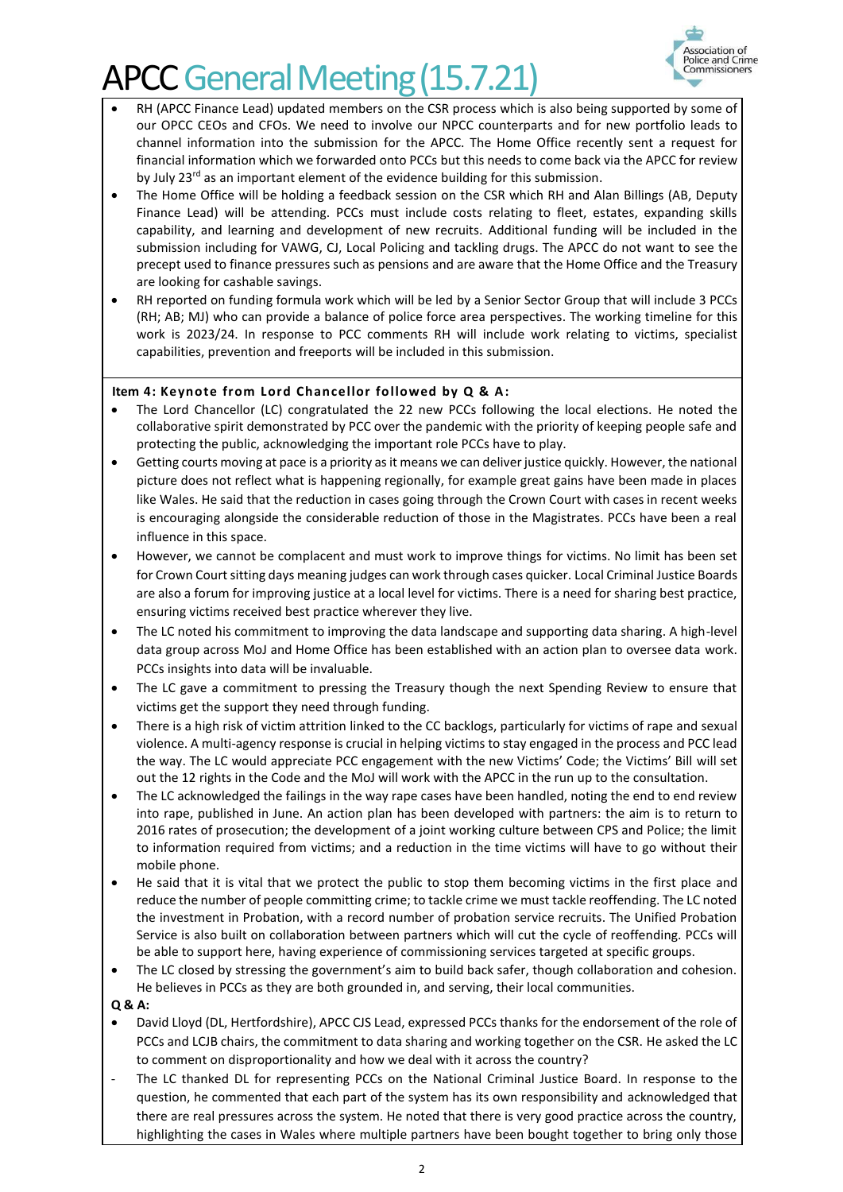

- RH (APCC Finance Lead) updated members on the CSR process which is also being supported by some of our OPCC CEOs and CFOs. We need to involve our NPCC counterparts and for new portfolio leads to channel information into the submission for the APCC. The Home Office recently sent a request for financial information which we forwarded onto PCCs but this needs to come back via the APCC for review by July 23<sup>rd</sup> as an important element of the evidence building for this submission.
- The Home Office will be holding a feedback session on the CSR which RH and Alan Billings (AB, Deputy Finance Lead) will be attending. PCCs must include costs relating to fleet, estates, expanding skills capability, and learning and development of new recruits. Additional funding will be included in the submission including for VAWG, CJ, Local Policing and tackling drugs. The APCC do not want to see the precept used to finance pressures such as pensions and are aware that the Home Office and the Treasury are looking for cashable savings.
- RH reported on funding formula work which will be led by a Senior Sector Group that will include 3 PCCs (RH; AB; MJ) who can provide a balance of police force area perspectives. The working timeline for this work is 2023/24. In response to PCC comments RH will include work relating to victims, specialist capabilities, prevention and freeports will be included in this submission.

### **Item 4: Keynote from Lord Chancellor followed by Q & A:**

- The Lord Chancellor (LC) congratulated the 22 new PCCs following the local elections. He noted the collaborative spirit demonstrated by PCC over the pandemic with the priority of keeping people safe and protecting the public, acknowledging the important role PCCs have to play.
- Getting courts moving at pace is a priority as it means we can deliver justice quickly. However, the national picture does not reflect what is happening regionally, for example great gains have been made in places like Wales. He said that the reduction in cases going through the Crown Court with cases in recent weeks is encouraging alongside the considerable reduction of those in the Magistrates. PCCs have been a real influence in this space.
- However, we cannot be complacent and must work to improve things for victims. No limit has been set for Crown Court sitting days meaning judges can work through cases quicker. Local Criminal Justice Boards are also a forum for improving justice at a local level for victims. There is a need for sharing best practice, ensuring victims received best practice wherever they live.
- The LC noted his commitment to improving the data landscape and supporting data sharing. A high-level data group across MoJ and Home Office has been established with an action plan to oversee data work. PCCs insights into data will be invaluable.
- The LC gave a commitment to pressing the Treasury though the next Spending Review to ensure that victims get the support they need through funding.
- There is a high risk of victim attrition linked to the CC backlogs, particularly for victims of rape and sexual violence. A multi-agency response is crucial in helping victims to stay engaged in the process and PCC lead the way. The LC would appreciate PCC engagement with the new Victims' Code; the Victims' Bill will set out the 12 rights in the Code and the MoJ will work with the APCC in the run up to the consultation.
- The LC acknowledged the failings in the way rape cases have been handled, noting the end to end review into rape, published in June. An action plan has been developed with partners: the aim is to return to 2016 rates of prosecution; the development of a joint working culture between CPS and Police; the limit to information required from victims; and a reduction in the time victims will have to go without their mobile phone.
- He said that it is vital that we protect the public to stop them becoming victims in the first place and reduce the number of people committing crime; to tackle crime we must tackle reoffending. The LC noted the investment in Probation, with a record number of probation service recruits. The Unified Probation Service is also built on collaboration between partners which will cut the cycle of reoffending. PCCs will be able to support here, having experience of commissioning services targeted at specific groups.
- The LC closed by stressing the government's aim to build back safer, though collaboration and cohesion. He believes in PCCs as they are both grounded in, and serving, their local communities.

**Q & A:**

- David Lloyd (DL, Hertfordshire), APCC CJS Lead, expressed PCCs thanks for the endorsement of the role of PCCs and LCJB chairs, the commitment to data sharing and working together on the CSR. He asked the LC to comment on disproportionality and how we deal with it across the country?
- The LC thanked DL for representing PCCs on the National Criminal Justice Board. In response to the question, he commented that each part of the system has its own responsibility and acknowledged that there are real pressures across the system. He noted that there is very good practice across the country, highlighting the cases in Wales where multiple partners have been bought together to bring only those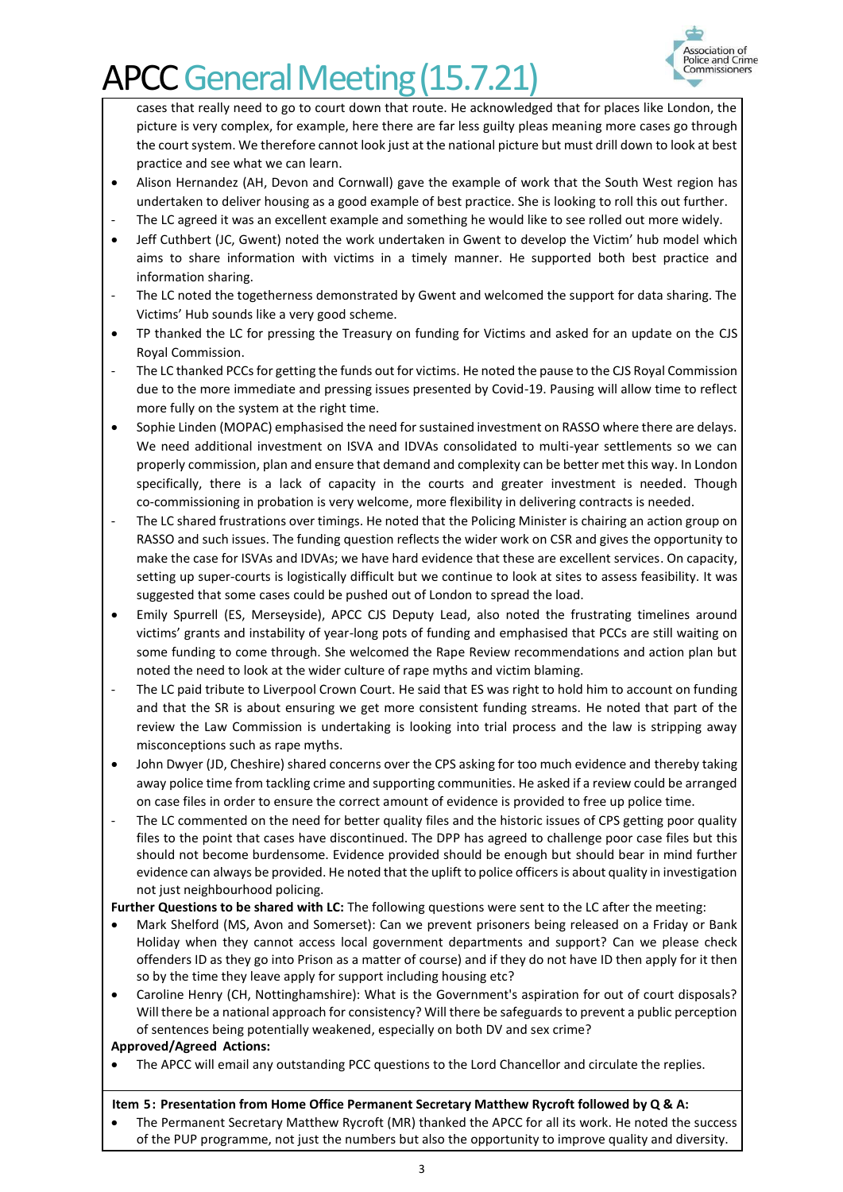

cases that really need to go to court down that route. He acknowledged that for places like London, the picture is very complex, for example, here there are far less guilty pleas meaning more cases go through the court system. We therefore cannot look just at the national picture but must drill down to look at best practice and see what we can learn.

- Alison Hernandez (AH, Devon and Cornwall) gave the example of work that the South West region has undertaken to deliver housing as a good example of best practice. She is looking to roll this out further.
- The LC agreed it was an excellent example and something he would like to see rolled out more widely.
- Jeff Cuthbert (JC, Gwent) noted the work undertaken in Gwent to develop the Victim' hub model which aims to share information with victims in a timely manner. He supported both best practice and information sharing.
- The LC noted the togetherness demonstrated by Gwent and welcomed the support for data sharing. The Victims' Hub sounds like a very good scheme.
- TP thanked the LC for pressing the Treasury on funding for Victims and asked for an update on the CJS Royal Commission.
- The LC thanked PCCs for getting the funds out for victims. He noted the pause to the CJS Royal Commission due to the more immediate and pressing issues presented by Covid-19. Pausing will allow time to reflect more fully on the system at the right time.
- Sophie Linden (MOPAC) emphasised the need for sustained investment on RASSO where there are delays. We need additional investment on ISVA and IDVAs consolidated to multi-year settlements so we can properly commission, plan and ensure that demand and complexity can be better met this way. In London specifically, there is a lack of capacity in the courts and greater investment is needed. Though co-commissioning in probation is very welcome, more flexibility in delivering contracts is needed.
- The LC shared frustrations over timings. He noted that the Policing Minister is chairing an action group on RASSO and such issues. The funding question reflects the wider work on CSR and gives the opportunity to make the case for ISVAs and IDVAs; we have hard evidence that these are excellent services. On capacity, setting up super-courts is logistically difficult but we continue to look at sites to assess feasibility. It was suggested that some cases could be pushed out of London to spread the load.
- Emily Spurrell (ES, Merseyside), APCC CJS Deputy Lead, also noted the frustrating timelines around victims' grants and instability of year-long pots of funding and emphasised that PCCs are still waiting on some funding to come through. She welcomed the Rape Review recommendations and action plan but noted the need to look at the wider culture of rape myths and victim blaming.
- The LC paid tribute to Liverpool Crown Court. He said that ES was right to hold him to account on funding and that the SR is about ensuring we get more consistent funding streams. He noted that part of the review the Law Commission is undertaking is looking into trial process and the law is stripping away misconceptions such as rape myths.
- John Dwyer (JD, Cheshire) shared concerns over the CPS asking for too much evidence and thereby taking away police time from tackling crime and supporting communities. He asked if a review could be arranged on case files in order to ensure the correct amount of evidence is provided to free up police time.
- The LC commented on the need for better quality files and the historic issues of CPS getting poor quality files to the point that cases have discontinued. The DPP has agreed to challenge poor case files but this should not become burdensome. Evidence provided should be enough but should bear in mind further evidence can always be provided. He noted that the uplift to police officers is about quality in investigation not just neighbourhood policing.

**Further Questions to be shared with LC:** The following questions were sent to the LC after the meeting:

- Mark Shelford (MS, Avon and Somerset): Can we prevent prisoners being released on a Friday or Bank Holiday when they cannot access local government departments and support? Can we please check offenders ID as they go into Prison as a matter of course) and if they do not have ID then apply for it then so by the time they leave apply for support including housing etc?
- Caroline Henry (CH, Nottinghamshire): What is the Government's aspiration for out of court disposals? Will there be a national approach for consistency? Will there be safeguards to prevent a public perception of sentences being potentially weakened, especially on both DV and sex crime?

### **Approved/Agreed Actions:**

• The APCC will email any outstanding PCC questions to the Lord Chancellor and circulate the replies.

### **Item 5: Presentation from Home Office Permanent Secretary Matthew Rycroft followed by Q & A:**

• The Permanent Secretary Matthew Rycroft (MR) thanked the APCC for all its work. He noted the success of the PUP programme, not just the numbers but also the opportunity to improve quality and diversity.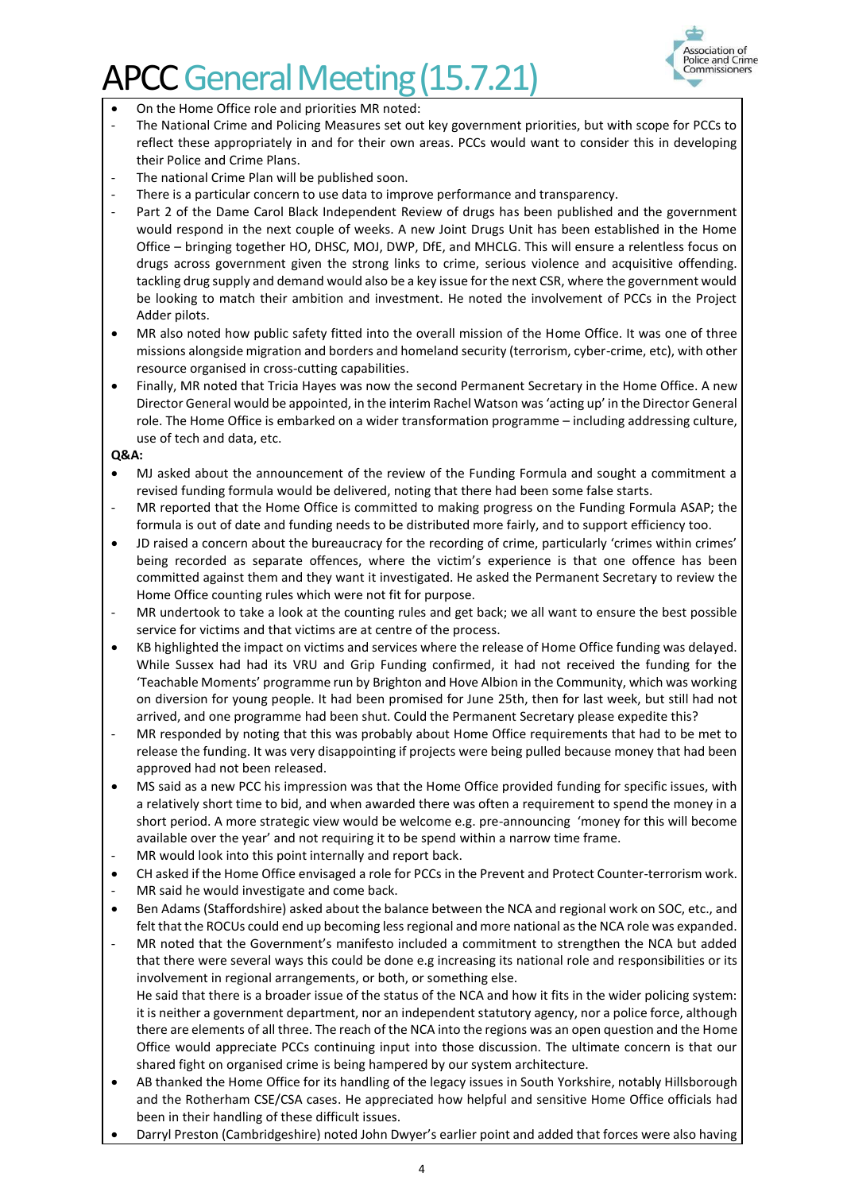

- On the Home Office role and priorities MR noted:
- The National Crime and Policing Measures set out key government priorities, but with scope for PCCs to reflect these appropriately in and for their own areas. PCCs would want to consider this in developing their Police and Crime Plans.
- The national Crime Plan will be published soon.
- There is a particular concern to use data to improve performance and transparency.
- Part 2 of the Dame Carol Black Independent Review of drugs has been published and the government would respond in the next couple of weeks. A new Joint Drugs Unit has been established in the Home Office – bringing together HO, DHSC, MOJ, DWP, DfE, and MHCLG. This will ensure a relentless focus on drugs across government given the strong links to crime, serious violence and acquisitive offending. tackling drug supply and demand would also be a key issue for the next CSR, where the government would be looking to match their ambition and investment. He noted the involvement of PCCs in the Project Adder pilots.
- MR also noted how public safety fitted into the overall mission of the Home Office. It was one of three missions alongside migration and borders and homeland security (terrorism, cyber-crime, etc), with other resource organised in cross-cutting capabilities.
- Finally, MR noted that Tricia Hayes was now the second Permanent Secretary in the Home Office. A new Director General would be appointed, in the interim Rachel Watson was'acting up' in the Director General role. The Home Office is embarked on a wider transformation programme – including addressing culture, use of tech and data, etc.

**Q&A:**

- MJ asked about the announcement of the review of the Funding Formula and sought a commitment a revised funding formula would be delivered, noting that there had been some false starts.
- MR reported that the Home Office is committed to making progress on the Funding Formula ASAP; the formula is out of date and funding needs to be distributed more fairly, and to support efficiency too.
- JD raised a concern about the bureaucracy for the recording of crime, particularly 'crimes within crimes' being recorded as separate offences, where the victim's experience is that one offence has been committed against them and they want it investigated. He asked the Permanent Secretary to review the Home Office counting rules which were not fit for purpose.
- MR undertook to take a look at the counting rules and get back; we all want to ensure the best possible service for victims and that victims are at centre of the process.
- KB highlighted the impact on victims and services where the release of Home Office funding was delayed. While Sussex had had its VRU and Grip Funding confirmed, it had not received the funding for the 'Teachable Moments' programme run by Brighton and Hove Albion in the Community, which was working on diversion for young people. It had been promised for June 25th, then for last week, but still had not arrived, and one programme had been shut. Could the Permanent Secretary please expedite this?
- MR responded by noting that this was probably about Home Office requirements that had to be met to release the funding. It was very disappointing if projects were being pulled because money that had been approved had not been released.
- MS said as a new PCC his impression was that the Home Office provided funding for specific issues, with a relatively short time to bid, and when awarded there was often a requirement to spend the money in a short period. A more strategic view would be welcome e.g. pre-announcing 'money for this will become available over the year' and not requiring it to be spend within a narrow time frame.
- MR would look into this point internally and report back.
- CH asked if the Home Office envisaged a role for PCCs in the Prevent and Protect Counter-terrorism work.
- MR said he would investigate and come back.
- Ben Adams (Staffordshire) asked about the balance between the NCA and regional work on SOC, etc., and felt that the ROCUs could end up becoming less regional and more national as the NCA role was expanded.
- MR noted that the Government's manifesto included a commitment to strengthen the NCA but added that there were several ways this could be done e.g increasing its national role and responsibilities or its involvement in regional arrangements, or both, or something else. He said that there is a broader issue of the status of the NCA and how it fits in the wider policing system: it is neither a government department, nor an independent statutory agency, nor a police force, although there are elements of all three. The reach of the NCA into the regions was an open question and the Home Office would appreciate PCCs continuing input into those discussion. The ultimate concern is that our shared fight on organised crime is being hampered by our system architecture.
- AB thanked the Home Office for its handling of the legacy issues in South Yorkshire, notably Hillsborough and the Rotherham CSE/CSA cases. He appreciated how helpful and sensitive Home Office officials had been in their handling of these difficult issues.
- Darryl Preston (Cambridgeshire) noted John Dwyer's earlier point and added that forces were also having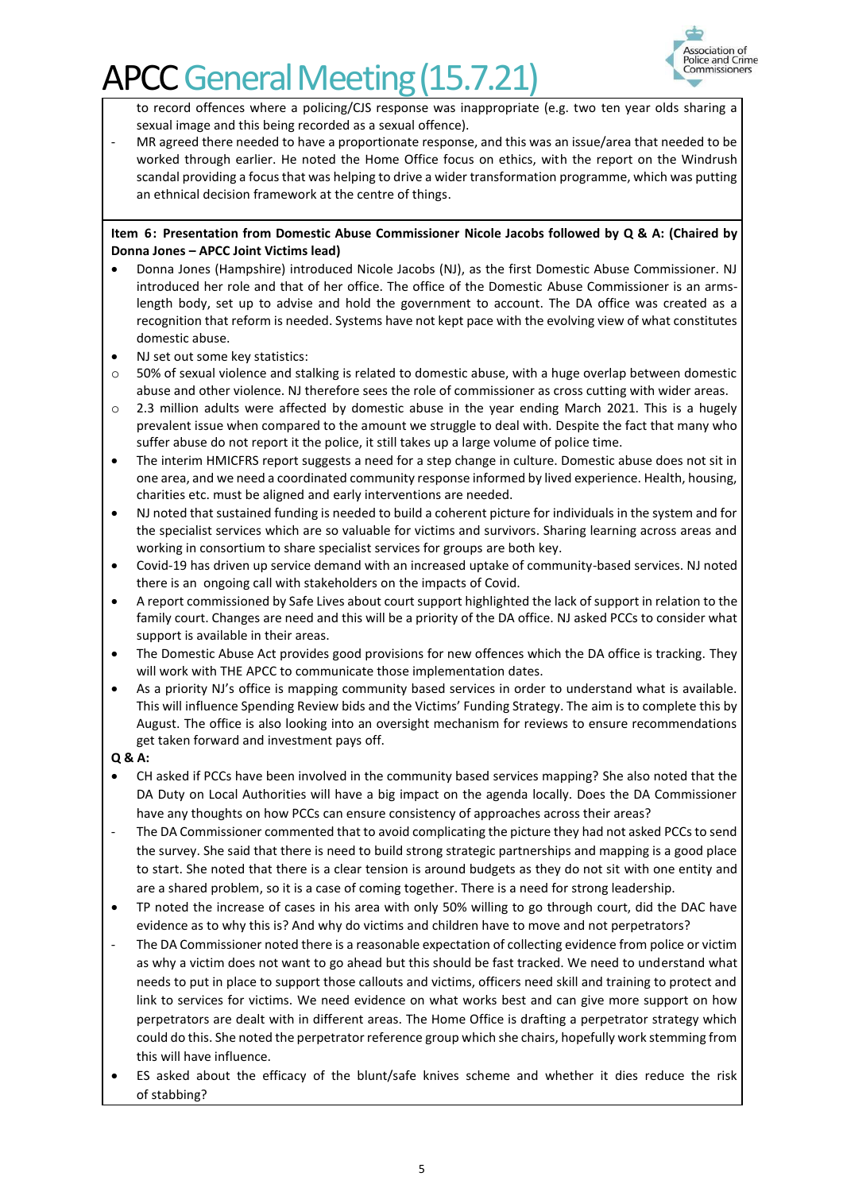

to record offences where a policing/CJS response was inappropriate (e.g. two ten year olds sharing a sexual image and this being recorded as a sexual offence).

MR agreed there needed to have a proportionate response, and this was an issue/area that needed to be worked through earlier. He noted the Home Office focus on ethics, with the report on the Windrush scandal providing a focus that was helping to drive a wider transformation programme, which was putting an ethnical decision framework at the centre of things.

#### **Item 6: Presentation from Domestic Abuse Commissioner Nicole Jacobs followed by Q & A: (Chaired by Donna Jones – APCC Joint Victims lead)**

- Donna Jones (Hampshire) introduced Nicole Jacobs (NJ), as the first Domestic Abuse Commissioner. NJ introduced her role and that of her office. The office of the Domestic Abuse Commissioner is an armslength body, set up to advise and hold the government to account. The DA office was created as a recognition that reform is needed. Systems have not kept pace with the evolving view of what constitutes domestic abuse.
- NJ set out some key statistics:
- $\circ$  50% of sexual violence and stalking is related to domestic abuse, with a huge overlap between domestic abuse and other violence. NJ therefore sees the role of commissioner as cross cutting with wider areas.
- o 2.3 million adults were affected by domestic abuse in the year ending March 2021. This is a hugely prevalent issue when compared to the amount we struggle to deal with. Despite the fact that many who suffer abuse do not report it the police, it still takes up a large volume of police time.
- The interim HMICFRS report suggests a need for a step change in culture. Domestic abuse does not sit in one area, and we need a coordinated community response informed by lived experience. Health, housing, charities etc. must be aligned and early interventions are needed.
- NJ noted that sustained funding is needed to build a coherent picture for individuals in the system and for the specialist services which are so valuable for victims and survivors. Sharing learning across areas and working in consortium to share specialist services for groups are both key.
- Covid-19 has driven up service demand with an increased uptake of community-based services. NJ noted there is an ongoing call with stakeholders on the impacts of Covid.
- A report commissioned by Safe Lives about court support highlighted the lack of support in relation to the family court. Changes are need and this will be a priority of the DA office. NJ asked PCCs to consider what support is available in their areas.
- The Domestic Abuse Act provides good provisions for new offences which the DA office is tracking. They will work with THE APCC to communicate those implementation dates.
- As a priority NJ's office is mapping community based services in order to understand what is available. This will influence Spending Review bids and the Victims' Funding Strategy. The aim is to complete this by August. The office is also looking into an oversight mechanism for reviews to ensure recommendations get taken forward and investment pays off.

### **Q & A:**

- CH asked if PCCs have been involved in the community based services mapping? She also noted that the DA Duty on Local Authorities will have a big impact on the agenda locally. Does the DA Commissioner have any thoughts on how PCCs can ensure consistency of approaches across their areas?
- The DA Commissioner commented that to avoid complicating the picture they had not asked PCCs to send the survey. She said that there is need to build strong strategic partnerships and mapping is a good place to start. She noted that there is a clear tension is around budgets as they do not sit with one entity and are a shared problem, so it is a case of coming together. There is a need for strong leadership.
- TP noted the increase of cases in his area with only 50% willing to go through court, did the DAC have evidence as to why this is? And why do victims and children have to move and not perpetrators?
- The DA Commissioner noted there is a reasonable expectation of collecting evidence from police or victim as why a victim does not want to go ahead but this should be fast tracked. We need to understand what needs to put in place to support those callouts and victims, officers need skill and training to protect and link to services for victims. We need evidence on what works best and can give more support on how perpetrators are dealt with in different areas. The Home Office is drafting a perpetrator strategy which could do this. She noted the perpetrator reference group which she chairs, hopefully work stemming from this will have influence.
- ES asked about the efficacy of the blunt/safe knives scheme and whether it dies reduce the risk of stabbing?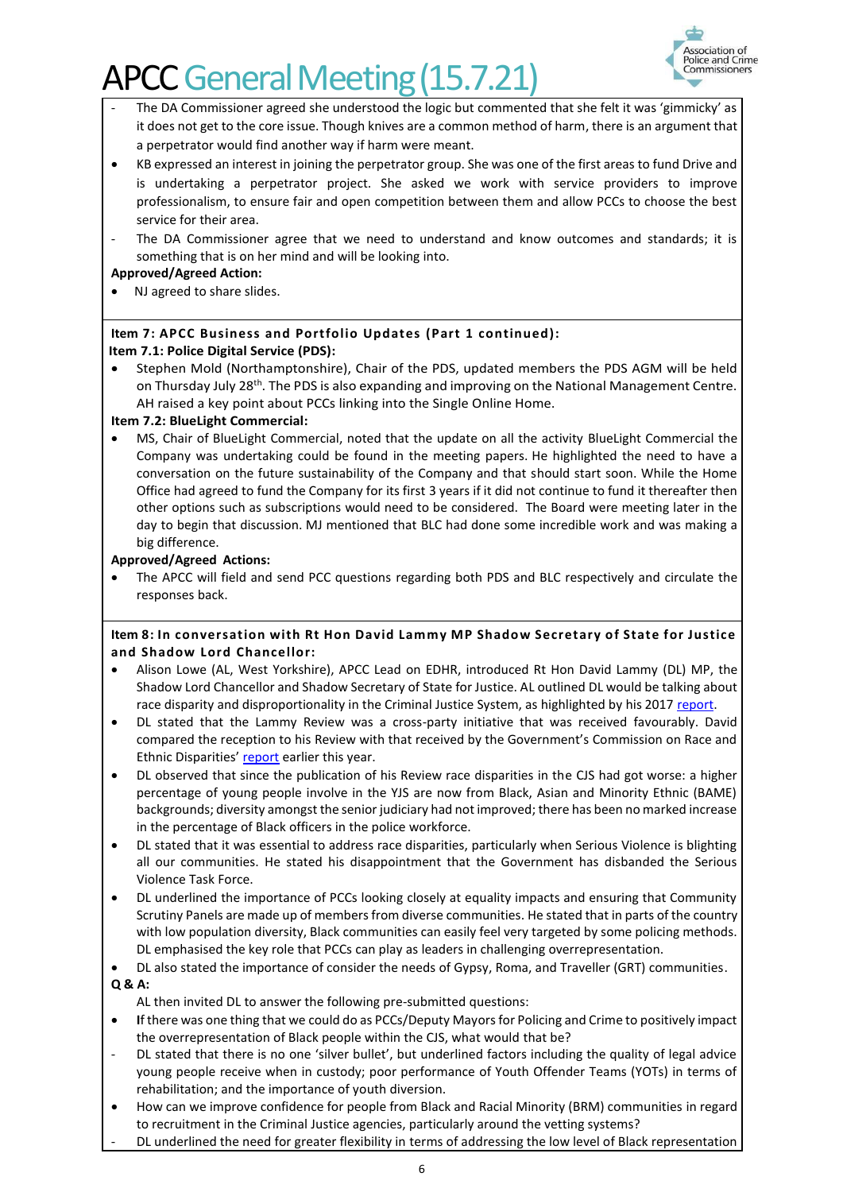

- The DA Commissioner agreed she understood the logic but commented that she felt it was 'gimmicky' as it does not get to the core issue. Though knives are a common method of harm, there is an argument that a perpetrator would find another way if harm were meant.
- KB expressed an interest in joining the perpetrator group. She was one of the first areas to fund Drive and is undertaking a perpetrator project. She asked we work with service providers to improve professionalism, to ensure fair and open competition between them and allow PCCs to choose the best service for their area.
- The DA Commissioner agree that we need to understand and know outcomes and standards; it is something that is on her mind and will be looking into.

### **Approved/Agreed Action:**

• NJ agreed to share slides.

### **Item 7: APCC Business and Portfolio Updates (Part 1 continued): Item 7.1: Police Digital Service (PDS):**

• Stephen Mold (Northamptonshire), Chair of the PDS, updated members the PDS AGM will be held on Thursday July 28<sup>th</sup>. The PDS is also expanding and improving on the National Management Centre. AH raised a key point about PCCs linking into the Single Online Home.

### **Item 7.2: BlueLight Commercial:**

• MS, Chair of BlueLight Commercial, noted that the update on all the activity BlueLight Commercial the Company was undertaking could be found in the meeting papers. He highlighted the need to have a conversation on the future sustainability of the Company and that should start soon. While the Home Office had agreed to fund the Company for its first 3 years if it did not continue to fund it thereafter then other options such as subscriptions would need to be considered. The Board were meeting later in the day to begin that discussion. MJ mentioned that BLC had done some incredible work and was making a big difference.

### **Approved/Agreed Actions:**

• The APCC will field and send PCC questions regarding both PDS and BLC respectively and circulate the responses back.

### **Item 8: In conversation with Rt Hon David Lammy MP Shadow Secretary of State for Justice and Shadow Lord Chancellor:**

- Alison Lowe (AL, West Yorkshire), APCC Lead on EDHR, introduced Rt Hon David Lammy (DL) MP, the Shadow Lord Chancellor and Shadow Secretary of State for Justice. AL outlined DL would be talking about race disparity and disproportionality in the Criminal Justice System, as highlighted by his 201[7 report.](https://assets.publishing.service.gov.uk/government/uploads/system/uploads/attachment_data/file/643001/lammy-review-final-report.pdf)
- DL stated that the Lammy Review was a cross-party initiative that was received favourably. David compared the reception to his Review with that received by the Government's Commission on Race and Ethnic Disparities' [report](https://assets.publishing.service.gov.uk/government/uploads/system/uploads/attachment_data/file/974507/20210331_-_CRED_Report_-_FINAL_-_Web_Accessible.pdf) earlier this year.
- DL observed that since the publication of his Review race disparities in the CJS had got worse: a higher percentage of young people involve in the YJS are now from Black, Asian and Minority Ethnic (BAME) backgrounds; diversity amongst the senior judiciary had not improved; there has been no marked increase in the percentage of Black officers in the police workforce.
- DL stated that it was essential to address race disparities, particularly when Serious Violence is blighting all our communities. He stated his disappointment that the Government has disbanded the Serious Violence Task Force.
- DL underlined the importance of PCCs looking closely at equality impacts and ensuring that Community Scrutiny Panels are made up of members from diverse communities. He stated that in parts of the country with low population diversity, Black communities can easily feel very targeted by some policing methods. DL emphasised the key role that PCCs can play as leaders in challenging overrepresentation.
- DL also stated the importance of consider the needs of Gypsy, Roma, and Traveller (GRT) communities. **Q & A:**
	- AL then invited DL to answer the following pre-submitted questions:
- **I**f there was one thing that we could do as PCCs/Deputy Mayors for Policing and Crime to positively impact the overrepresentation of Black people within the CJS, what would that be?
- DL stated that there is no one 'silver bullet', but underlined factors including the quality of legal advice young people receive when in custody; poor performance of Youth Offender Teams (YOTs) in terms of rehabilitation; and the importance of youth diversion.
- How can we improve confidence for people from Black and Racial Minority (BRM) communities in regard to recruitment in the Criminal Justice agencies, particularly around the vetting systems?
- DL underlined the need for greater flexibility in terms of addressing the low level of Black representation